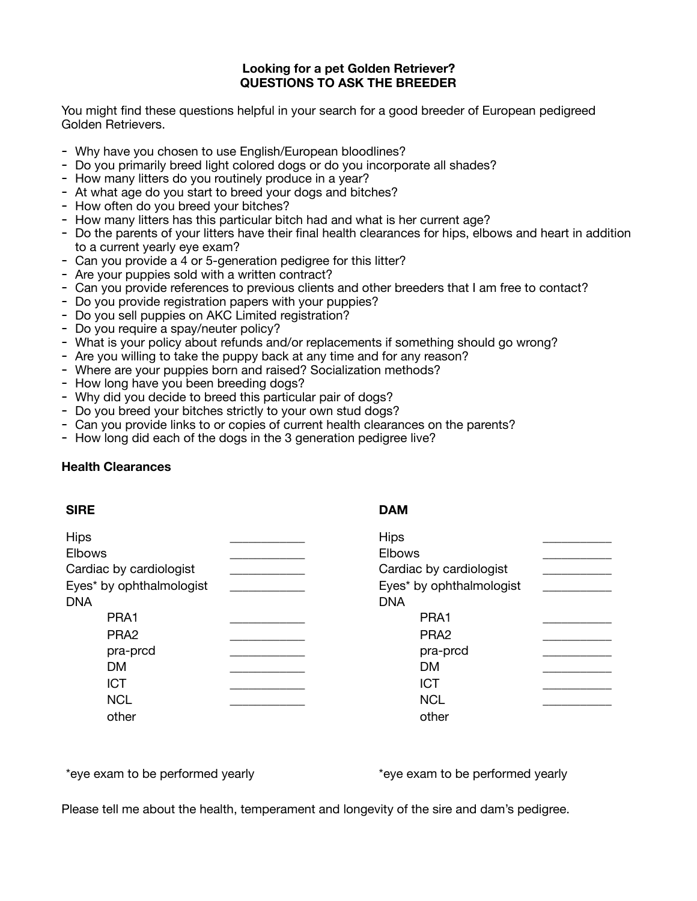# **Looking for a pet Golden Retriever? QUESTIONS TO ASK THE BREEDER**

You might find these questions helpful in your search for a good breeder of European pedigreed Golden Retrievers.

- Why have you chosen to use English/European bloodlines?
- Do you primarily breed light colored dogs or do you incorporate all shades?
- How many litters do you routinely produce in a year?
- At what age do you start to breed your dogs and bitches?
- How often do you breed your bitches?
- How many litters has this particular bitch had and what is her current age?
- Do the parents of your litters have their final health clearances for hips, elbows and heart in addition to a current yearly eye exam?
- Can you provide a 4 or 5-generation pedigree for this litter?
- Are your puppies sold with a written contract?
- Can you provide references to previous clients and other breeders that I am free to contact?
- Do you provide registration papers with your puppies?
- Do you sell puppies on AKC Limited registration?
- Do you require a spay/neuter policy?
- What is your policy about refunds and/or replacements if something should go wrong?
- Are you willing to take the puppy back at any time and for any reason?
- Where are your puppies born and raised? Socialization methods?
- How long have you been breeding dogs?
- Why did you decide to breed this particular pair of dogs?
- Do you breed your bitches strictly to your own stud dogs?
- Can you provide links to or copies of current health clearances on the parents?
- How long did each of the dogs in the 3 generation pedigree live?

# **Health Clearances**

### **SIRE**

### **DAM**

| <b>Hips</b>              | <b>Hips</b>              |  |
|--------------------------|--------------------------|--|
| <b>Elbows</b>            | <b>Elbows</b>            |  |
| Cardiac by cardiologist  | Cardiac by cardiologist  |  |
| Eyes* by ophthalmologist | Eyes* by ophthalmologist |  |
| <b>DNA</b>               | <b>DNA</b>               |  |
| PRA1                     | PRA1                     |  |
| PRA <sub>2</sub>         | PRA <sub>2</sub>         |  |
| pra-prcd                 | pra-prcd                 |  |
| <b>DM</b>                | <b>DM</b>                |  |
| <b>ICT</b>               | <b>ICT</b>               |  |
| <b>NCL</b>               | <b>NCL</b>               |  |
| other                    | other                    |  |

\*eye exam to be performed yearly

\*eye exam to be performed yearly

Please tell me about the health, temperament and longevity of the sire and dam's pedigree.